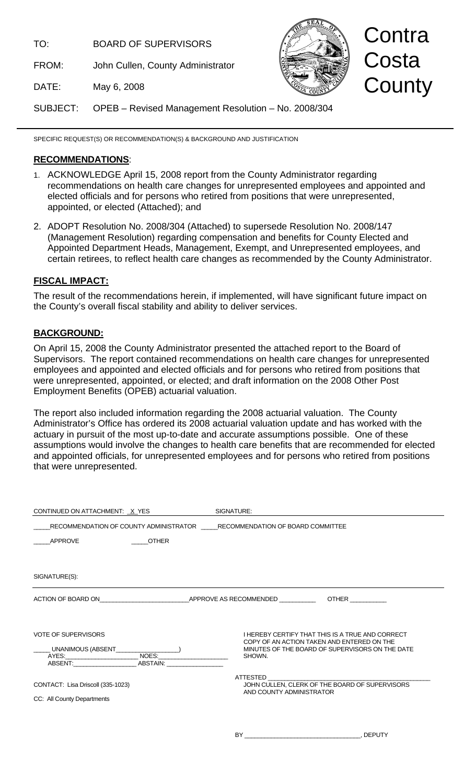TO: BOARD OF SUPERVISORS

FROM: John Cullen, County Administrator



# Contra Costa **County**

DATE: May 6, 2008

SUBJECT: OPEB – Revised Management Resolution – No. 2008/304

SPECIFIC REQUEST(S) OR RECOMMENDATION(S) & BACKGROUND AND JUSTIFICATION

## **RECOMMENDATIONS**:

- 1. ACKNOWLEDGE April 15, 2008 report from the County Administrator regarding recommendations on health care changes for unrepresented employees and appointed and elected officials and for persons who retired from positions that were unrepresented, appointed, or elected (Attached); and
- 2. ADOPT Resolution No. 2008/304 (Attached) to supersede Resolution No. 2008/147 (Management Resolution) regarding compensation and benefits for County Elected and Appointed Department Heads, Management, Exempt, and Unrepresented employees, and certain retirees, to reflect health care changes as recommended by the County Administrator.

## **FISCAL IMPACT:**

The result of the recommendations herein, if implemented, will have significant future impact on the County's overall fiscal stability and ability to deliver services.

## **BACKGROUND:**

On April 15, 2008 the County Administrator presented the attached report to the Board of Supervisors. The report contained recommendations on health care changes for unrepresented employees and appointed and elected officials and for persons who retired from positions that were unrepresented, appointed, or elected; and draft information on the 2008 Other Post Employment Benefits (OPEB) actuarial valuation.

The report also included information regarding the 2008 actuarial valuation. The County Administrator's Office has ordered its 2008 actuarial valuation update and has worked with the actuary in pursuit of the most up-to-date and accurate assumptions possible. One of these assumptions would involve the changes to health care benefits that are recommended for elected and appointed officials, for unrepresented employees and for persons who retired from positions that were unrepresented.

| CONTINUED ON ATTACHMENT: X_YES                                                                                        | SIGNATURE:                                                                                                                                                  |
|-----------------------------------------------------------------------------------------------------------------------|-------------------------------------------------------------------------------------------------------------------------------------------------------------|
| RECOMMENDATION OF COUNTY ADMINISTRATOR RECOMMENDATION OF BOARD COMMITTEE                                              |                                                                                                                                                             |
| APPROVE<br><b>OTHER</b>                                                                                               |                                                                                                                                                             |
|                                                                                                                       |                                                                                                                                                             |
| SIGNATURE(S):                                                                                                         |                                                                                                                                                             |
| ACTION OF BOARD ON APPROVE AS RECOMMENDED OTHER OTHER                                                                 |                                                                                                                                                             |
| <b>VOTE OF SUPERVISORS</b><br>UNANIMOUS (ABSENT____<br><u> 1989 - Johann Barbara, martin a</u><br>ABSTAIN:<br>ABSENT: | I HEREBY CERTIFY THAT THIS IS A TRUE AND CORRECT<br>COPY OF AN ACTION TAKEN AND ENTERED ON THE<br>MINUTES OF THE BOARD OF SUPERVISORS ON THE DATE<br>SHOWN. |
| CONTACT: Lisa Driscoll (335-1023)<br>CC: All County Departments                                                       | ATTESTED<br>JOHN CULLEN, CLERK OF THE BOARD OF SUPERVISORS<br>AND COUNTY ADMINISTRATOR                                                                      |

BY GEPUTY